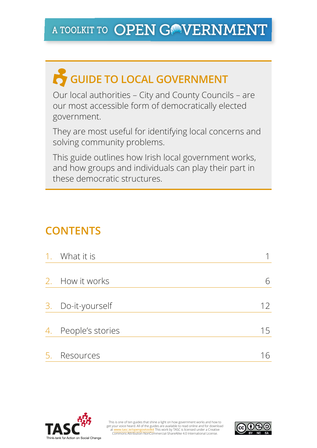# A TOOLKIT TO OPEN GONVERNMENT

# **COUIDE TO LOCAL GOVERNMENT**

Our local authorities – City and County Councils – are our most accessible form of democratically elected government.

They are most useful for identifying local concerns and solving community problems.

This guide outlines how Irish local government works, and how groups and individuals can play their part in these democratic structures.

# **CONTENTS**

| $\mathbf{1}$ . | What it is          |    |
|----------------|---------------------|----|
|                |                     |    |
| 2.             | How it works        | 6  |
|                |                     |    |
|                | 3. Do-it-yourself   | 12 |
|                |                     |    |
|                | 4. People's stories | 15 |
|                |                     |    |
| 5.             | Resources           | 16 |



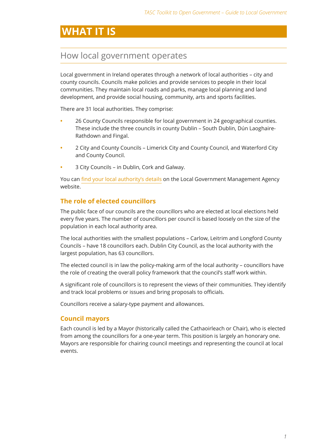# **WHAT IT IS**

### How local government operates

Local government in Ireland operates through a network of local authorities – city and county councils. Councils make policies and provide services to people in their local communities. They maintain local roads and parks, manage local planning and land development, and provide social housing, community, arts and sports facilities.

There are 31 local authorities. They comprise:

- **•**  26 County Councils responsible for local government in 24 geographical counties. These include the three councils in county Dublin – South Dublin, Dún Laoghaire-Rathdown and Fingal.
- **•**  2 City and County Councils Limerick City and County Council, and Waterford City and County Council.
- **3 City Councils in Dublin, Cork and Galway.**

You can [find your local authority's details](http://www.lgcsb.ie/en/irish-local-government) on the Local Government Management Agency website.

### **The role of elected councillors**

The public face of our councils are the councillors who are elected at local elections held every five years. The number of councillors per council is based loosely on the size of the population in each local authority area.

The local authorities with the smallest populations – Carlow, Leitrim and Longford County Councils – have 18 councillors each. Dublin City Council, as the local authority with the largest population, has 63 councillors.

The elected council is in law the policy-making arm of the local authority – councillors have the role of creating the overall policy framework that the council's staff work within.

A significant role of councillors is to represent the views of their communities. They identify and track local problems or issues and bring proposals to officials.

Councillors receive a salary-type payment and allowances.

### **Council mayors**

Each council is led by a Mayor (historically called the Cathaoirleach or Chair), who is elected from among the councillors for a one-year term. This position is largely an honorary one. Mayors are responsible for chairing council meetings and representing the council at local events.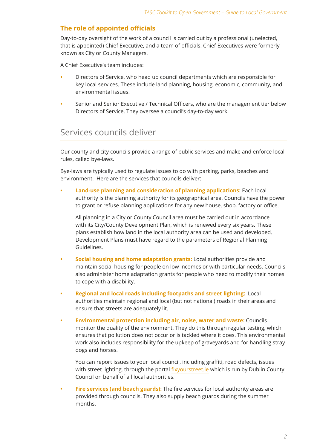### **The role of appointed officials**

Day-to-day oversight of the work of a council is carried out by a professional (unelected, that is appointed) Chief Executive, and a team of officials. Chief Executives were formerly known as City or County Managers.

A Chief Executive's team includes:

- Directors of Service, who head up council departments which are responsible for key local services. These include land planning, housing, economic, community, and environmental issues.
- Senior and Senior Executive / Technical Officers, who are the management tier below Directors of Service. They oversee a council's day-to-day work.

### Services councils deliver

Our county and city councils provide a range of public services and make and enforce local rules, called bye-laws.

Bye-laws are typically used to regulate issues to do with parking, parks, beaches and environment. Here are the services that councils deliver:

**Land-use planning and consideration of planning applications: Each local** authority is the planning authority for its geographical area. Councils have the power to grant or refuse planning applications for any new house, shop, factory or office.

All planning in a City or County Council area must be carried out in accordance with its City/County Development Plan, which is renewed every six years. These plans establish how land in the local authority area can be used and developed. Development Plans must have regard to the parameters of Regional Planning Guidelines.

- **Social housing and home adaptation grants:** Local authorities provide and maintain social housing for people on low incomes or with particular needs. Councils also administer home adaptation grants for people who need to modify their homes to cope with a disability.
- **• Regional and local roads including footpaths and street lighting:** Local authorities maintain regional and local (but not national) roads in their areas and ensure that streets are adequately lit.
- **Environmental protection including air, noise, water and waste: Councils** monitor the quality of the environment. They do this through regular testing, which ensures that pollution does not occur or is tackled where it does. This environmental work also includes responsibility for the upkeep of graveyards and for handling stray dogs and horses.

You can report issues to your local council, including graffiti, road defects, issues with street lighting, through the portal [fixyourstreet.ie](http://fixyourstreet.ie/main) which is run by Dublin County Council on behalf of all local authorities.

**Fire services (and beach guards):** The fire services for local authority areas are provided through councils. They also supply beach guards during the summer months.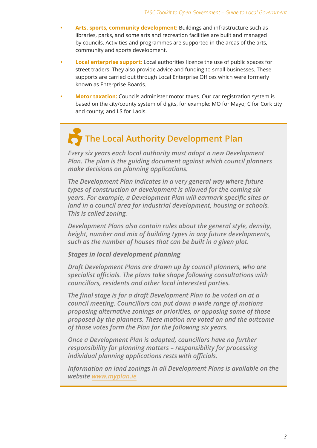- Arts, sports, community development: Buildings and infrastructure such as libraries, parks, and some arts and recreation facilities are built and managed by councils. Activities and programmes are supported in the areas of the arts, community and sports development.
- **Local enterprise support:** Local authorities licence the use of public spaces for street traders. They also provide advice and funding to small businesses. These supports are carried out through Local Enterprise Offices which were formerly known as Enterprise Boards.
- **Motor taxation:** Councils administer motor taxes. Our car registration system is based on the city/county system of digits, for example: MO for Mayo; C for Cork city and county; and LS for Laois.

# **The Local Authority Development Plan**

*Every six years each local authority must adopt a new Development Plan. The plan is the guiding document against which council planners make decisions on planning applications.*

*The Development Plan indicates in a very general way where future types of construction or development is allowed for the coming six years. For example, a Development Plan will earmark specific sites or land in a council area for industrial development, housing or schools. This is called zoning.* 

*Development Plans also contain rules about the general style, density, height, number and mix of building types in any future developments, such as the number of houses that can be built in a given plot.*

### *Stages in local development planning*

*Draft Development Plans are drawn up by council planners, who are specialist officials. The plans take shape following consultations with councillors, residents and other local interested parties.*

*The final stage is for a draft Development Plan to be voted on at a council meeting. Councillors can put down a wide range of motions proposing alternative zonings or priorities, or opposing some of those proposed by the planners. These motion are voted on and the outcome of those votes form the Plan for the following six years.*

*Once a Development Plan is adopted, councillors have no further responsibility for planning matters – responsibility for processing individual planning applications rests with officials.*

*Information on land zonings in all Development Plans is available on the website [www.myplan.ie](http://www.myplan.ie/en/index.html)*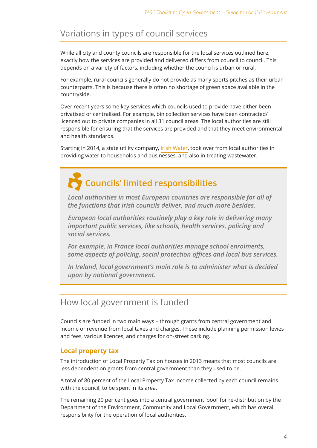# Variations in types of council services

While all city and county councils are responsible for the local services outlined here, exactly how the services are provided and delivered differs from council to council. This depends on a variety of factors, including whether the council is urban or rural.

For example, rural councils generally do not provide as many sports pitches as their urban counterparts. This is because there is often no shortage of green space available in the countryside.

Over recent years some key services which councils used to provide have either been privatised or centralised. For example, bin collection services have been contracted/ licenced out to private companies in all 31 council areas. The local authorities are still responsible for ensuring that the services are provided and that they meet environmental and health standards.

Starting in 2014, a state utility company, [Irish Water,](http://www.water.ie/) took over from local authorities in providing water to households and businesses, and also in treating wastewater.

# **Councils' limited responsibilities**

*Local authorities in most European countries are responsible for all of the functions that Irish councils deliver, and much more besides.*

*European local authorities routinely play a key role in delivering many important public services, like schools, health services, policing and social services.* 

*For example, in France local authorities manage school enrolments, some aspects of policing, social protection offices and local bus services.*

*In Ireland, local government's main role is to administer what is decided upon by national government.*

## How local government is funded

Councils are funded in two main ways – through grants from central government and income or revenue from local taxes and charges. These include planning permission levies and fees, various licences, and charges for on-street parking.

### **Local property tax**

The introduction of Local Property Tax on houses in 2013 means that most councils are less dependent on grants from central government than they used to be.

A total of 80 percent of the Local Property Tax income collected by each council remains with the council, to be spent in its area.

The remaining 20 per cent goes into a central government 'pool' for re-distribution by the Department of the Environment, Community and Local Government, which has overall responsibility for the operation of local authorities.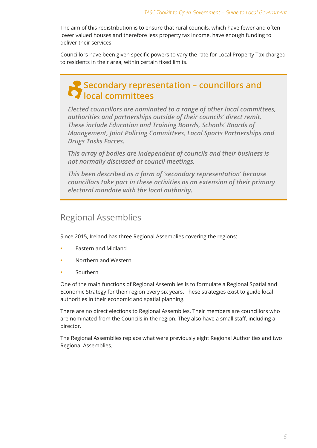The aim of this redistribution is to ensure that rural councils, which have fewer and often lower valued houses and therefore less property tax income, have enough funding to deliver their services.

Councillors have been given specific powers to vary the rate for Local Property Tax charged to residents in their area, within certain fixed limits.

### **Secondary representation – councillors and local committees**

*Elected councillors are nominated to a range of other local committees, authorities and partnerships outside of their councils' direct remit. These include Education and Training Boards, Schools' Boards of Management, Joint Policing Committees, Local Sports Partnerships and Drugs Tasks Forces.*

*This array of bodies are independent of councils and their business is not normally discussed at council meetings.*

*This been described as a form of 'secondary representation' because councillors take part in these activities as an extension of their primary electoral mandate with the local authority.*

### Regional Assemblies

Since 2015, Ireland has three Regional Assemblies covering the regions:

- **Fastern and Midland**
- **•**  Northern and Western
- **•**  Southern

One of the main functions of Regional Assemblies is to formulate a Regional Spatial and Economic Strategy for their region every six years. These strategies exist to guide local authorities in their economic and spatial planning.

There are no direct elections to Regional Assemblies. Their members are councillors who are nominated from the Councils in the region. They also have a small staff, including a director.

The Regional Assemblies replace what were previously eight Regional Authorities and two Regional Assemblies.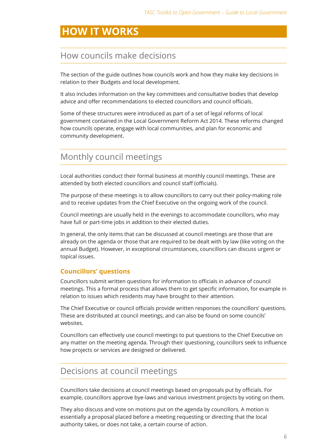# **HOW IT WORKS**

### How councils make decisions

The section of the guide outlines how councils work and how they make key decisions in relation to their Budgets and local development.

It also includes information on the key committees and consultative bodies that develop advice and offer recommendations to elected councillors and council officials.

Some of these structures were introduced as part of a set of legal reforms of local government contained in the Local Government Reform Act 2014. These reforms changed how councils operate, engage with local communities, and plan for economic and community development.

### Monthly council meetings

Local authorities conduct their formal business at monthly council meetings. These are attended by both elected councillors and council staff (officials).

The purpose of these meetings is to allow councillors to carry out their policy-making role and to receive updates from the Chief Executive on the ongoing work of the council.

Council meetings are usually held in the evenings to accommodate councillors, who may have full or part-time jobs in addition to their elected duties.

In general, the only items that can be discussed at council meetings are those that are already on the agenda or those that are required to be dealt with by law (like voting on the annual Budget). However, in exceptional circumstances, councillors can discuss urgent or topical issues.

### **Councillors' questions**

Councillors submit written questions for information to officials in advance of council meetings. This a formal process that allows them to get specific information, for example in relation to issues which residents may have brought to their attention.

The Chief Executive or council officials provide written responses the councillors' questions. These are distributed at council meetings, and can also be found on some councils' websites.

Councillors can effectively use council meetings to put questions to the Chief Executive on any matter on the meeting agenda. Through their questioning, councillors seek to influence how projects or services are designed or delivered.

### Decisions at council meetings

Councillors take decisions at council meetings based on proposals put by officials. For example, councillors approve bye-laws and various investment projects by voting on them.

They also discuss and vote on motions put on the agenda by councillors. A motion is essentially a proposal placed before a meeting requesting or directing that the local authority takes, or does not take, a certain course of action.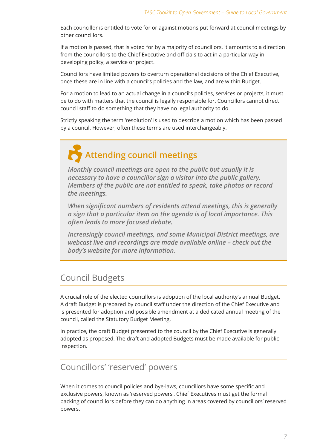Each councillor is entitled to vote for or against motions put forward at council meetings by other councillors.

If a motion is passed, that is voted for by a majority of councillors, it amounts to a direction from the councillors to the Chief Executive and officials to act in a particular way in developing policy, a service or project.

Councillors have limited powers to overturn operational decisions of the Chief Executive, once these are in line with a council's policies and the law, and are within Budget.

For a motion to lead to an actual change in a council's policies, services or projects, it must be to do with matters that the council is legally responsible for. Councillors cannot direct council staff to do something that they have no legal authority to do.

Strictly speaking the term 'resolution' is used to describe a motion which has been passed by a council. However, often these terms are used interchangeably.

# **Attending council meetings**

*Monthly council meetings are open to the public but usually it is necessary to have a councillor sign a visitor into the public gallery. Members of the public are not entitled to speak, take photos or record the meetings.*

*When significant numbers of residents attend meetings, this is generally a sign that a particular item on the agenda is of local importance. This often leads to more focused debate.*

*Increasingly council meetings, and some Municipal District meetings, are webcast live and recordings are made available online – check out the body's website for more information.*

### Council Budgets

A crucial role of the elected councillors is adoption of the local authority's annual Budget. A draft Budget is prepared by council staff under the direction of the Chief Executive and is presented for adoption and possible amendment at a dedicated annual meeting of the council, called the Statutory Budget Meeting.

In practice, the draft Budget presented to the council by the Chief Executive is generally adopted as proposed. The draft and adopted Budgets must be made available for public inspection.

### Councillors' 'reserved' powers

When it comes to council policies and bye-laws, councillors have some specific and exclusive powers, known as 'reserved powers'. Chief Executives must get the formal backing of councillors before they can do anything in areas covered by councillors' reserved powers.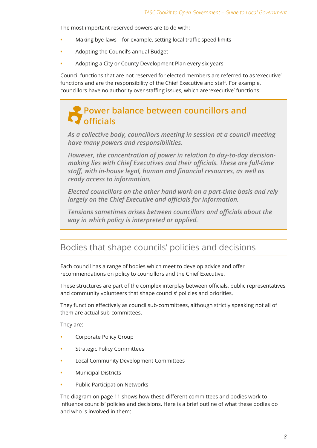The most important reserved powers are to do with:

- Making bye-laws for example, setting local traffic speed limits
- **•**  Adopting the Council's annual Budget
- Adopting a City or County Development Plan every six years

Council functions that are not reserved for elected members are referred to as 'executive' functions and are the responsibility of the Chief Executive and staff. For example, councillors have no authority over staffing issues, which are 'executive' functions.

## **Power balance between councillors and officials**

*As a collective body, councillors meeting in session at a council meeting have many powers and responsibilities.* 

*However, the concentration of power in relation to day-to-day decisionmaking lies with Chief Executives and their officials. These are full-time staff, with in-house legal, human and financial resources, as well as ready access to information.*

*Elected councillors on the other hand work on a part-time basis and rely largely on the Chief Executive and officials for information.*

*Tensions sometimes arises between councillors and officials about the way in which policy is interpreted or applied.*

### Bodies that shape councils' policies and decisions

Each council has a range of bodies which meet to develop advice and offer recommendations on policy to councillors and the Chief Executive.

These structures are part of the complex interplay between officials, public representatives and community volunteers that shape councils' policies and priorities.

They function effectively as council sub-committees, although strictly speaking not all of them are actual sub-committees.

They are:

- Corporate Policy Group
- **Strategic Policy Committees**
- **Local Community Development Committees**
- **Municipal Districts**
- **Public Participation Networks**

The diagram on page 11 shows how these different committees and bodies work to influence councils' policies and decisions. Here is a brief outline of what these bodies do and who is involved in them: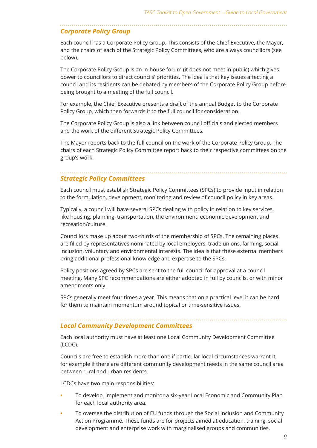#### *Corporate Policy Group*

Each council has a Corporate Policy Group. This consists of the Chief Executive, the Mayor, and the chairs of each of the Strategic Policy Committees, who are always councillors (see below).

The Corporate Policy Group is an in-house forum (it does not meet in public) which gives power to councillors to direct councils' priorities. The idea is that key issues affecting a council and its residents can be debated by members of the Corporate Policy Group before being brought to a meeting of the full council.

For example, the Chief Executive presents a draft of the annual Budget to the Corporate Policy Group, which then forwards it to the full council for consideration.

The Corporate Policy Group is also a link between council officials and elected members and the work of the different Strategic Policy Committees.

The Mayor reports back to the full council on the work of the Corporate Policy Group. The chairs of each Strategic Policy Committee report back to their respective committees on the group's work.

#### *Strategic Policy Committees*

Each council must establish Strategic Policy Committees (SPCs) to provide input in relation to the formulation, development, monitoring and review of council policy in key areas.

Typically, a council will have several SPCs dealing with policy in relation to key services, like housing, planning, transportation, the environment, economic development and recreation/culture.

Councillors make up about two-thirds of the membership of SPCs. The remaining places are filled by representatives nominated by local employers, trade unions, farming, social inclusion, voluntary and environmental interests. The idea is that these external members bring additional professional knowledge and expertise to the SPCs.

Policy positions agreed by SPCs are sent to the full council for approval at a council meeting. Many SPC recommendations are either adopted in full by councils, or with minor amendments only.

SPCs generally meet four times a year. This means that on a practical level it can be hard for them to maintain momentum around topical or time-sensitive issues.

### *Local Community Development Committees*

Each local authority must have at least one Local Community Development Committee (LCDC).

Councils are free to establish more than one if particular local circumstances warrant it, for example if there are different community development needs in the same council area between rural and urban residents.

LCDCs have two main responsibilities:

- To develop, implement and monitor a six-year Local Economic and Community Plan for each local authority area.
- To oversee the distribution of EU funds through the Social Inclusion and Community Action Programme. These funds are for projects aimed at education, training, social development and enterprise work with marginalised groups and communities.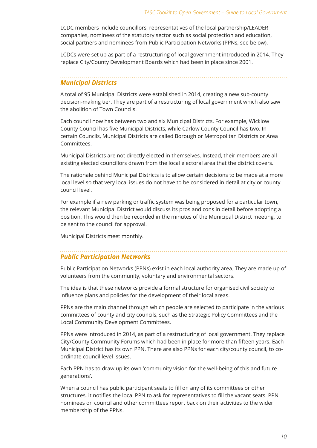LCDC members include councillors, representatives of the local partnership/LEADER companies, nominees of the statutory sector such as social protection and education, social partners and nominees from Public Participation Networks (PPNs, see below).

LCDCs were set up as part of a restructuring of local government introduced in 2014. They replace City/County Development Boards which had been in place since 2001.

### *Municipal Districts*

A total of 95 Municipal Districts were established in 2014, creating a new sub-county decision-making tier. They are part of a restructuring of local government which also saw the abolition of Town Councils.

Each council now has between two and six Municipal Districts. For example, Wicklow County Council has five Municipal Districts, while Carlow County Council has two. In certain Councils, Municipal Districts are called Borough or Metropolitan Districts or Area Committees.

Municipal Districts are not directly elected in themselves. Instead, their members are all existing elected councillors drawn from the local electoral area that the district covers.

The rationale behind Municipal Districts is to allow certain decisions to be made at a more local level so that very local issues do not have to be considered in detail at city or county council level.

For example if a new parking or traffic system was being proposed for a particular town, the relevant Municipal District would discuss its pros and cons in detail before adopting a position. This would then be recorded in the minutes of the Municipal District meeting, to be sent to the council for approval.

Municipal Districts meet monthly.

#### *Public Participation Networks*

Public Participation Networks (PPNs) exist in each local authority area. They are made up of volunteers from the community, voluntary and environmental sectors.

The idea is that these networks provide a formal structure for organised civil society to influence plans and policies for the development of their local areas.

PPNs are the main channel through which people are selected to participate in the various committees of county and city councils, such as the Strategic Policy Committees and the Local Community Development Committees.

PPNs were introduced in 2014, as part of a restructuring of local government. They replace City/County Community Forums which had been in place for more than fifteen years. Each Municipal District has its own PPN. There are also PPNs for each city/county council, to coordinate council level issues.

Each PPN has to draw up its own 'community vision for the well-being of this and future generations'.

When a council has public participant seats to fill on any of its committees or other structures, it notifies the local PPN to ask for representatives to fill the vacant seats. PPN nominees on council and other committees report back on their activities to the wider membership of the PPNs.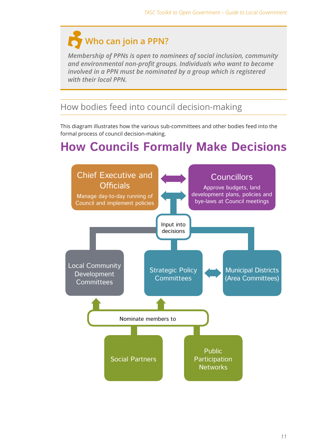# **Who can join a PPN?**

*Membership of PPNs is open to nominees of social inclusion, community and environmental non-profit groups. Individuals who want to become involved in a PPN must be nominated by a group which is registered with their local PPN.*

# How bodies feed into council decision-making

This diagram illustrates how the various sub-committees and other bodies feed into the formal process of council decision-making.

# **How Councils Formally Make Decisions**

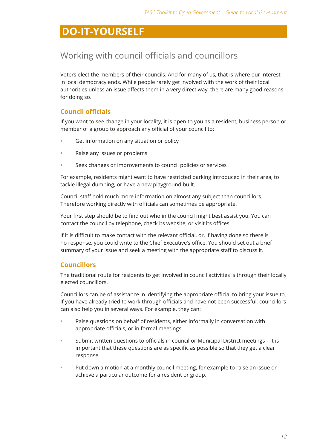# **DO-IT-YOURSELF**

## Working with council officials and councillors

Voters elect the members of their councils. And for many of us, that is where our interest in local democracy ends. While people rarely get involved with the work of their local authorities unless an issue affects them in a very direct way, there are many good reasons for doing so.

### **Council officials**

If you want to see change in your locality, it is open to you as a resident, business person or member of a group to approach any official of your council to:

- Get information on any situation or policy
- **Raise any issues or problems**
- Seek changes or improvements to council policies or services

For example, residents might want to have restricted parking introduced in their area, to tackle illegal dumping, or have a new playground built.

Council staff hold much more information on almost any subject than councillors. Therefore working directly with officials can sometimes be appropriate.

Your first step should be to find out who in the council might best assist you. You can contact the council by telephone, check its website, or visit its offices.

If it is difficult to make contact with the relevant official, or, if having done so there is no response, you could write to the Chief Executive's office. You should set out a brief summary of your issue and seek a meeting with the appropriate staff to discuss it.

### **Councillors**

The traditional route for residents to get involved in council activities is through their locally elected councillors.

Councillors can be of assistance in identifying the appropriate official to bring your issue to. If you have already tried to work through officials and have not been successful, councillors can also help you in several ways. For example, they can:

- Raise questions on behalf of residents, either informally in conversation with appropriate officials, or in formal meetings.
- Submit written questions to officials in council or Municipal District meetings it is important that these questions are as specific as possible so that they get a clear response.
- Put down a motion at a monthly council meeting, for example to raise an issue or achieve a particular outcome for a resident or group.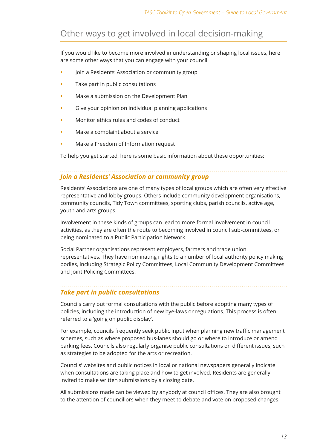# Other ways to get involved in local decision-making

If you would like to become more involved in understanding or shaping local issues, here are some other ways that you can engage with your council:

- Join a Residents' Association or community group
- Take part in public consultations
- Make a submission on the Development Plan
- Give your opinion on individual planning applications
- **•**  Monitor ethics rules and codes of conduct
- Make a complaint about a service
- **•**  Make a Freedom of Information request

To help you get started, here is some basic information about these opportunities:

### *Join a Residents' Association or community group*

Residents' Associations are one of many types of local groups which are often very effective representative and lobby groups. Others include community development organisations, community councils, Tidy Town committees, sporting clubs, parish councils, active age, youth and arts groups.

Involvement in these kinds of groups can lead to more formal involvement in council activities, as they are often the route to becoming involved in council sub-committees, or being nominated to a Public Participation Network.

Social Partner organisations represent employers, farmers and trade union representatives. They have nominating rights to a number of local authority policy making bodies, including Strategic Policy Committees, Local Community Development Committees and Joint Policing Committees.

#### *Take part in public consultations*

Councils carry out formal consultations with the public before adopting many types of policies, including the introduction of new bye-laws or regulations. This process is often referred to a 'going on public display'.

For example, councils frequently seek public input when planning new traffic management schemes, such as where proposed bus-lanes should go or where to introduce or amend parking fees. Councils also regularly organise public consultations on different issues, such as strategies to be adopted for the arts or recreation.

Councils' websites and public notices in local or national newspapers generally indicate when consultations are taking place and how to get involved. Residents are generally invited to make written submissions by a closing date.

All submissions made can be viewed by anybody at council offices. They are also brought to the attention of councillors when they meet to debate and vote on proposed changes.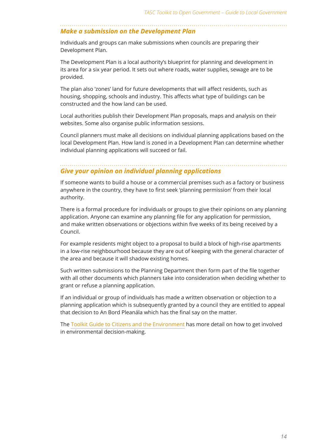### *Make a submission on the Development Plan*

Individuals and groups can make submissions when councils are preparing their Development Plan.

The Development Plan is a local authority's blueprint for planning and development in its area for a six year period. It sets out where roads, water supplies, sewage are to be provided.

The plan also 'zones' land for future developments that will affect residents, such as housing, shopping, schools and industry. This affects what type of buildings can be constructed and the how land can be used.

Local authorities publish their Development Plan proposals, maps and analysis on their websites. Some also organise public information sessions.

Council planners must make all decisions on individual planning applications based on the local Development Plan. How land is zoned in a Development Plan can determine whether individual planning applications will succeed or fail.

### *Give your opinion on individual planning applications*

If someone wants to build a house or a commercial premises such as a factory or business anywhere in the country, they have to first seek 'planning permission' from their local authority.

There is a formal procedure for individuals or groups to give their opinions on any planning application. Anyone can examine any planning file for any application for permission, and make written observations or objections within five weeks of its being received by a Council.

For example residents might object to a proposal to build a block of high-rise apartments in a low-rise neighbourhood because they are out of keeping with the general character of the area and because it will shadow existing homes.

Such written submissions to the Planning Department then form part of the file together with all other documents which planners take into consideration when deciding whether to grant or refuse a planning application.

If an individual or group of individuals has made a written observation or objection to a planning application which is subsequently granted by a council they are entitled to appeal that decision to An Bord Pleanála which has the final say on the matter.

The [Toolkit Guide to Citizens and the Environment](http://www.tasc.ie/opengovtoolkit/engaging-as-citizens/citizens-and-the-environment/) has more detail on how to get involved in environmental decision-making.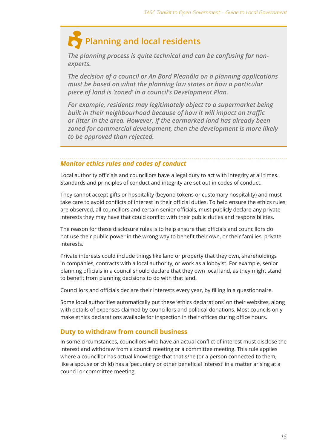# **Planning and local residents**

*The planning process is quite technical and can be confusing for nonexperts.* 

*The decision of a council or An Bord Pleanála on a planning applications must be based on what the planning law states or how a particular piece of land is 'zoned' in a council's Development Plan.*

*For example, residents may legitimately object to a supermarket being built in their neighbourhood because of how it will impact on traffic or litter in the area. However, if the earmarked land has already been zoned for commercial development, then the development is more likely to be approved than rejected.*

### *Monitor ethics rules and codes of conduct*

Local authority officials and councillors have a legal duty to act with integrity at all times. Standards and principles of conduct and integrity are set out in codes of conduct.

They cannot accept gifts or hospitality (beyond tokens or customary hospitality) and must take care to avoid conflicts of interest in their official duties. To help ensure the ethics rules are observed, all councillors and certain senior officials, must publicly declare any private interests they may have that could conflict with their public duties and responsibilities.

The reason for these disclosure rules is to help ensure that officials and councillors do not use their public power in the wrong way to benefit their own, or their families, private interests.

Private interests could include things like land or property that they own, shareholdings in companies, contracts with a local authority, or work as a lobbyist. For example, senior planning officials in a council should declare that they own local land, as they might stand to benefit from planning decisions to do with that land.

Councillors and officials declare their interests every year, by filling in a questionnaire.

Some local authorities automatically put these 'ethics declarations' on their websites, along with details of expenses claimed by councillors and political donations. Most councils only make ethics declarations available for inspection in their offices during office hours.

#### **Duty to withdraw from council business**

In some circumstances, councillors who have an actual conflict of interest must disclose the interest and withdraw from a council meeting or a committee meeting. This rule applies where a councillor has actual knowledge that that s/he (or a person connected to them, like a spouse or child) has a 'pecuniary or other beneficial interest' in a matter arising at a council or committee meeting.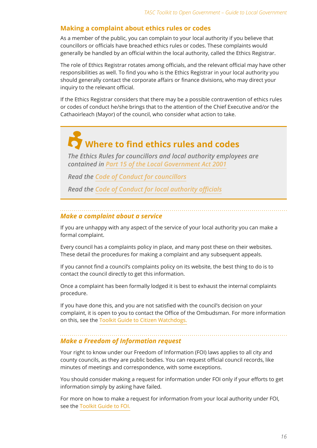### **Making a complaint about ethics rules or codes**

As a member of the public, you can complain to your local authority if you believe that councillors or officials have breached ethics rules or codes. These complaints would generally be handled by an official within the local authority, called the Ethics Registrar.

The role of Ethics Registrar rotates among officials, and the relevant official may have other responsibilities as well. To find you who is the Ethics Registrar in your local authority you should generally contact the corporate affairs or finance divisions, who may direct your inquiry to the relevant official.

If the Ethics Registrar considers that there may be a possible contravention of ethics rules or codes of conduct he/she brings that to the attention of the Chief Executive and/or the Cathaoirleach (Mayor) of the council, who consider what action to take.

# **Where to find ethics rules and codes**

*The Ethics Rules for councillors and local authority employees are contained in Part 15 of the Local Government Act 2001*

*Read the Code of Conduct for councillors*

*Read the Code of Conduct for local authority officials*

#### *Make a complaint about a service*

If you are unhappy with any aspect of the service of your local authority you can make a formal complaint.

Every council has a complaints policy in place, and many post these on their websites. These detail the procedures for making a complaint and any subsequent appeals.

If you cannot find a council's complaints policy on its website, the best thing to do is to contact the council directly to get this information.

Once a complaint has been formally lodged it is best to exhaust the internal complaints procedure.

If you have done this, and you are not satisfied with the council's decision on your complaint, it is open to you to contact the Office of the Ombudsman. For more information on this, see the [Toolkit Guide to Citizen Watchdogs.](http://www.tasc.ie/opengovtoolkit/engaging-as-citizens/citizen-watchdogs/)

### *Make a Freedom of Information request*

Your right to know under our Freedom of Information (FOI) laws applies to all city and county councils, as they are public bodies. You can request official council records, like minutes of meetings and correspondence, with some exceptions.

You should consider making a request for information under FOI only if your efforts to get information simply by asking have failed.

For more on how to make a request for information from your local authority under FOI, see the [Toolkit Guide to FOI.](http://www.tasc.ie/opengovtoolkit/putting-knowledge-to-work/freedom-of-information/)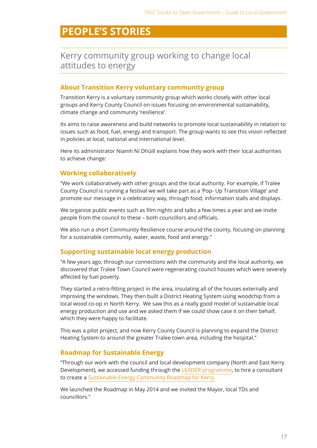# **PEOPLE'S STORIES**

### Kerry community group working to change local attitudes to energy

### **About Transition Kerry voluntary community group**

Transition Kerry is a voluntary community group which works closely with other local groups and Kerry County Council on issues focusing on environmental sustainability, climate change and community 'resilience'.

Its aims to raise awareness and build networks to promote local sustainability in relation to issues such as food, fuel, energy and transport. The group wants to see this vision reflected in policies at local, national and international level.

Here its administrator Niamh Ní Dhúill explains how they work with their local authorities to achieve change:

#### **Working collaboratively**

"We work collaboratively with other groups and the local authority. For example, if Tralee County Council is running a festival we will take part as a 'Pop- Up Transition Village' and promote our message in a celebratory way, through food, information stalls and displays.

We organise public events such as film nights and talks a few times a year and we invite people from the council to these – both councillors and officials.

We also run a short Community Resilience course around the county, focusing on planning for a sustainable community, water, waste, food and energy."

#### **Supporting sustainable local energy production**

"A few years ago, through our connections with the community and the local authority, we discovered that Tralee Town Council were regenerating council houses which were severely affected by fuel poverty.

They started a retro-fitting project in the area, insulating all of the houses externally and improving the windows. They then built a District Heating System using woodchip from a local wood co-op in North Kerry. We saw this as a really good model of sustainable local energy production and use and we asked them if we could show case it on their behalf, which they were happy to facilitate.

This was a pilot project, and now Kerry County Council is planning to expand the District Heating System to around the greater Tralee town area, including the hospital."

### **Roadmap for Sustainable Energy**

"Through our work with the council and local development company (North and East Kerry Development), we accessed funding through the [LEADER programme,](http://www.nationalruralnetwork.ie/) to hire a consultant to create a [Sustainable Energy Community Roadmap for Kerry.](http://www.transitionkerry.org/executive-summary-transition-kerrys-sustainable-energy-community-roadmap/)

We launched the Roadmap in May 2014 and we invited the Mayor, local TDs and councillors."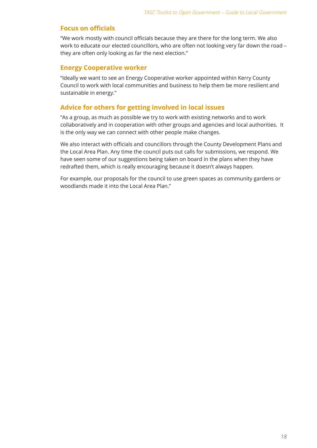### **Focus on officials**

"We work mostly with council officials because they are there for the long term. We also work to educate our elected councillors, who are often not looking very far down the road – they are often only looking as far the next election."

#### **Energy Cooperative worker**

"Ideally we want to see an Energy Cooperative worker appointed within Kerry County Council to work with local communities and business to help them be more resilient and sustainable in energy."

### **Advice for others for getting involved in local issues**

"As a group, as much as possible we try to work with existing networks and to work collaboratively and in cooperation with other groups and agencies and local authorities. It is the only way we can connect with other people make changes.

We also interact with officials and councillors through the County Development Plans and the Local Area Plan. Any time the council puts out calls for submissions, we respond. We have seen some of our suggestions being taken on board in the plans when they have redrafted them, which is really encouraging because it doesn't always happen.

For example, our proposals for the council to use green spaces as community gardens or woodlands made it into the Local Area Plan."